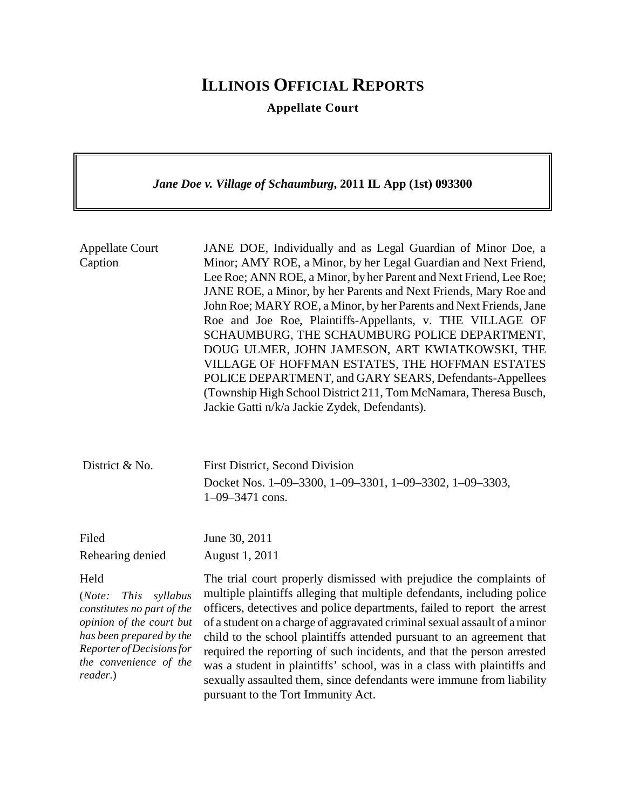# **ILLINOIS OFFICIAL REPORTS**

**Appellate Court**

*Jane Doe v. Village of Schaumburg***, 2011 IL App (1st) 093300** Appellate Court Caption JANE DOE, Individually and as Legal Guardian of Minor Doe, a Minor; AMY ROE, a Minor, by her Legal Guardian and Next Friend, Lee Roe; ANN ROE, a Minor, by her Parent and Next Friend, Lee Roe; JANE ROE, a Minor, by her Parents and Next Friends, Mary Roe and John Roe; MARY ROE, a Minor, by her Parents and Next Friends, Jane Roe and Joe Roe, Plaintiffs-Appellants, v. THE VILLAGE OF SCHAUMBURG, THE SCHAUMBURG POLICE DEPARTMENT, DOUG ULMER, JOHN JAMESON, ART KWIATKOWSKI, THE VILLAGE OF HOFFMAN ESTATES, THE HOFFMAN ESTATES POLICE DEPARTMENT, and GARY SEARS, Defendants-Appellees (Township High School District 211, Tom McNamara, Theresa Busch, Jackie Gatti n/k/a Jackie Zydek, Defendants). District & No. First District, Second Division Docket Nos. 1–09–3300, 1–09–3301, 1–09–3302, 1–09–3303, 1–09–3471 cons. Filed Rehearing denied June 30, 2011 August 1, 2011 Held (*Note: This syllabus constitutes no part of the opinion of the court but has been prepared by the Reporter of Decisions for the convenience of the reader.*) The trial court properly dismissed with prejudice the complaints of multiple plaintiffs alleging that multiple defendants, including police officers, detectives and police departments, failed to report the arrest of a student on a charge of aggravated criminal sexual assault of a minor child to the school plaintiffs attended pursuant to an agreement that required the reporting of such incidents, and that the person arrested was a student in plaintiffs' school, was in a class with plaintiffs and sexually assaulted them, since defendants were immune from liability

pursuant to the Tort Immunity Act.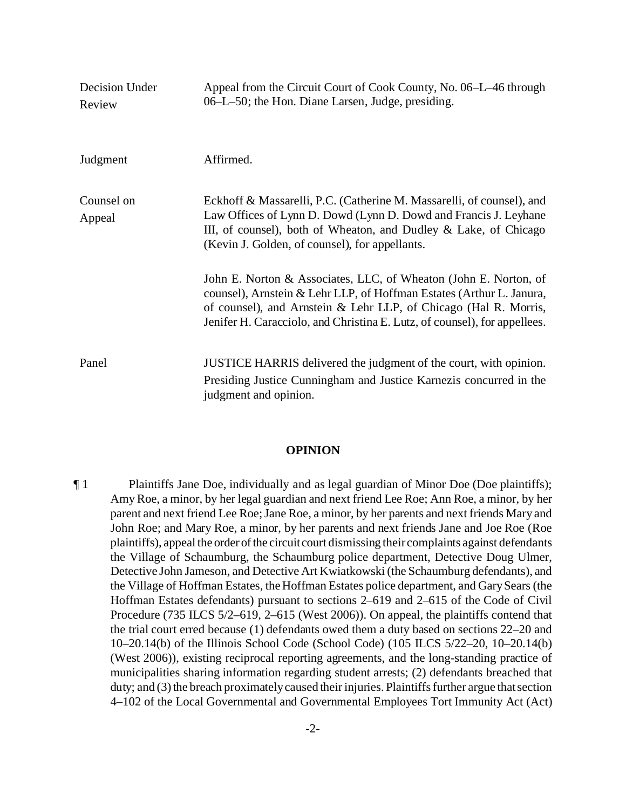| Decision Under<br>Review | Appeal from the Circuit Court of Cook County, No. 06–L–46 through<br>06–L–50; the Hon. Diane Larsen, Judge, presiding.                                                                                                                                                                    |
|--------------------------|-------------------------------------------------------------------------------------------------------------------------------------------------------------------------------------------------------------------------------------------------------------------------------------------|
| Judgment                 | Affirmed.                                                                                                                                                                                                                                                                                 |
| Counsel on<br>Appeal     | Eckhoff & Massarelli, P.C. (Catherine M. Massarelli, of counsel), and<br>Law Offices of Lynn D. Dowd (Lynn D. Dowd and Francis J. Leyhane<br>III, of counsel), both of Wheaton, and Dudley & Lake, of Chicago<br>(Kevin J. Golden, of counsel), for appellants.                           |
|                          | John E. Norton & Associates, LLC, of Wheaton (John E. Norton, of<br>counsel), Arnstein & Lehr LLP, of Hoffman Estates (Arthur L. Janura,<br>of counsel), and Arnstein & Lehr LLP, of Chicago (Hal R. Morris,<br>Jenifer H. Caracciolo, and Christina E. Lutz, of counsel), for appellees. |
| Panel                    | JUSTICE HARRIS delivered the judgment of the court, with opinion.<br>Presiding Justice Cunningham and Justice Karnezis concurred in the<br>judgment and opinion.                                                                                                                          |

#### **OPINION**

¶ 1 Plaintiffs Jane Doe, individually and as legal guardian of Minor Doe (Doe plaintiffs); Amy Roe, a minor, by her legal guardian and next friend Lee Roe; Ann Roe, a minor, by her parent and next friend Lee Roe; Jane Roe, a minor, by her parents and next friends Mary and John Roe; and Mary Roe, a minor, by her parents and next friends Jane and Joe Roe (Roe plaintiffs), appeal the order of the circuit court dismissing their complaints against defendants the Village of Schaumburg, the Schaumburg police department, Detective Doug Ulmer, Detective John Jameson, and Detective Art Kwiatkowski (the Schaumburg defendants), and the Village of Hoffman Estates, the Hoffman Estates police department, and Gary Sears (the Hoffman Estates defendants) pursuant to sections 2–619 and 2–615 of the Code of Civil Procedure (735 ILCS 5/2–619, 2–615 (West 2006)). On appeal, the plaintiffs contend that the trial court erred because (1) defendants owed them a duty based on sections 22–20 and 10–20.14(b) of the Illinois School Code (School Code) (105 ILCS 5/22–20, 10–20.14(b) (West 2006)), existing reciprocal reporting agreements, and the long-standing practice of municipalities sharing information regarding student arrests; (2) defendants breached that duty; and (3) the breach proximately caused their injuries. Plaintiffs further argue that section 4–102 of the Local Governmental and Governmental Employees Tort Immunity Act (Act)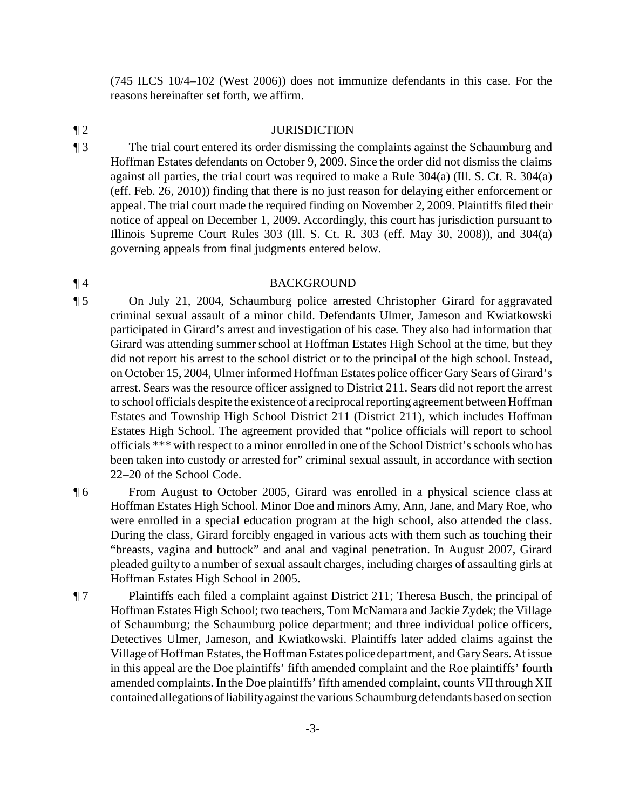(745 ILCS 10/4–102 (West 2006)) does not immunize defendants in this case. For the reasons hereinafter set forth, we affirm.

### ¶ 2 JURISDICTION

¶ 3 The trial court entered its order dismissing the complaints against the Schaumburg and Hoffman Estates defendants on October 9, 2009. Since the order did not dismiss the claims against all parties, the trial court was required to make a Rule 304(a) (Ill. S. Ct. R. 304(a) (eff. Feb. 26, 2010)) finding that there is no just reason for delaying either enforcement or appeal. The trial court made the required finding on November 2, 2009. Plaintiffs filed their notice of appeal on December 1, 2009. Accordingly, this court has jurisdiction pursuant to Illinois Supreme Court Rules 303 (Ill. S. Ct. R. 303 (eff. May 30, 2008)), and 304(a) governing appeals from final judgments entered below.

## ¶ 4 BACKGROUND

- ¶ 5 On July 21, 2004, Schaumburg police arrested Christopher Girard for aggravated criminal sexual assault of a minor child. Defendants Ulmer, Jameson and Kwiatkowski participated in Girard's arrest and investigation of his case. They also had information that Girard was attending summer school at Hoffman Estates High School at the time, but they did not report his arrest to the school district or to the principal of the high school. Instead, on October 15, 2004, Ulmer informed Hoffman Estates police officer Gary Sears of Girard's arrest. Sears was the resource officer assigned to District 211. Sears did not report the arrest to school officials despite the existence of a reciprocal reporting agreement between Hoffman Estates and Township High School District 211 (District 211), which includes Hoffman Estates High School. The agreement provided that "police officials will report to school officials \*\*\* with respect to a minor enrolled in one of the School District's schools who has been taken into custody or arrested for" criminal sexual assault, in accordance with section 22–20 of the School Code.
- ¶ 6 From August to October 2005, Girard was enrolled in a physical science class at Hoffman Estates High School. Minor Doe and minors Amy, Ann, Jane, and Mary Roe, who were enrolled in a special education program at the high school, also attended the class. During the class, Girard forcibly engaged in various acts with them such as touching their "breasts, vagina and buttock" and anal and vaginal penetration. In August 2007, Girard pleaded guilty to a number of sexual assault charges, including charges of assaulting girls at Hoffman Estates High School in 2005.
- ¶ 7 Plaintiffs each filed a complaint against District 211; Theresa Busch, the principal of Hoffman Estates High School; two teachers, Tom McNamara and Jackie Zydek; the Village of Schaumburg; the Schaumburg police department; and three individual police officers, Detectives Ulmer, Jameson, and Kwiatkowski. Plaintiffs later added claims against the Village of Hoffman Estates, the Hoffman Estates police department, and Gary Sears. At issue in this appeal are the Doe plaintiffs' fifth amended complaint and the Roe plaintiffs' fourth amended complaints. In the Doe plaintiffs' fifth amended complaint, counts VII through XII contained allegations of liability against the various Schaumburg defendants based on section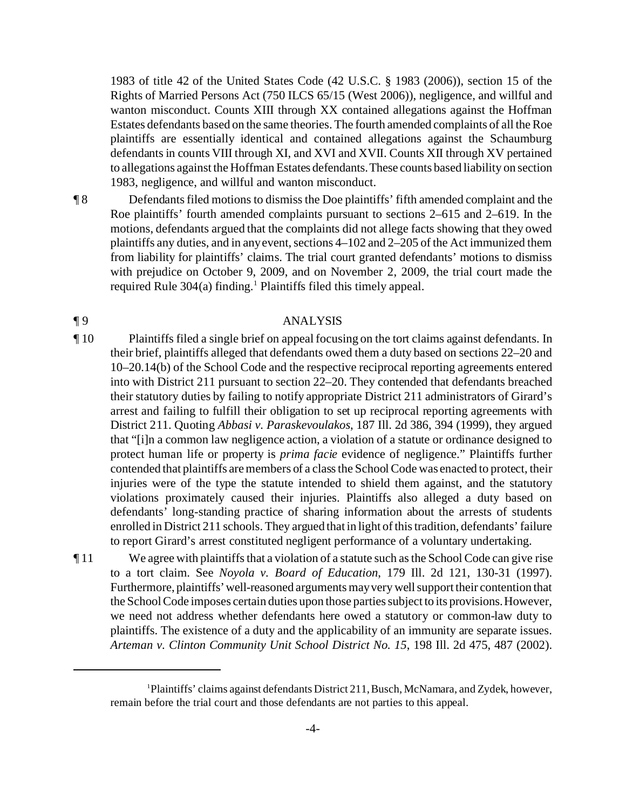1983 of title 42 of the United States Code (42 U.S.C. § 1983 (2006)), section 15 of the Rights of Married Persons Act (750 ILCS 65/15 (West 2006)), negligence, and willful and wanton misconduct. Counts XIII through XX contained allegations against the Hoffman Estates defendants based on the same theories. The fourth amended complaints of all the Roe plaintiffs are essentially identical and contained allegations against the Schaumburg defendants in counts VIII through XI, and XVI and XVII. Counts XII through XV pertained to allegations against the Hoffman Estates defendants.These counts based liability on section 1983, negligence, and willful and wanton misconduct.

¶ 8 Defendants filed motions to dismiss the Doe plaintiffs' fifth amended complaint and the Roe plaintiffs' fourth amended complaints pursuant to sections 2–615 and 2–619. In the motions, defendants argued that the complaints did not allege facts showing that they owed plaintiffs any duties, and in any event, sections 4–102 and 2–205 of the Act immunized them from liability for plaintiffs' claims. The trial court granted defendants' motions to dismiss with prejudice on October 9, 2009, and on November 2, 2009, the trial court made the required Rule 304(a) finding.<sup>1</sup> Plaintiffs filed this timely appeal.

# ¶ 9 ANALYSIS

- ¶ 10 Plaintiffs filed a single brief on appeal focusing on the tort claims against defendants. In their brief, plaintiffs alleged that defendants owed them a duty based on sections 22–20 and 10–20.14(b) of the School Code and the respective reciprocal reporting agreements entered into with District 211 pursuant to section 22–20. They contended that defendants breached their statutory duties by failing to notify appropriate District 211 administrators of Girard's arrest and failing to fulfill their obligation to set up reciprocal reporting agreements with District 211. Quoting *Abbasi v. Paraskevoulakos*, 187 Ill. 2d 386, 394 (1999), they argued that "[i]n a common law negligence action, a violation of a statute or ordinance designed to protect human life or property is *prima facie* evidence of negligence." Plaintiffs further contended that plaintiffs are members of a class the School Code was enacted to protect, their injuries were of the type the statute intended to shield them against, and the statutory violations proximately caused their injuries. Plaintiffs also alleged a duty based on defendants' long-standing practice of sharing information about the arrests of students enrolled in District 211 schools. They argued that in light of this tradition, defendants' failure to report Girard's arrest constituted negligent performance of a voluntary undertaking.
- ¶ 11 We agree with plaintiffs that a violation of a statute such as the School Code can give rise to a tort claim. See *Noyola v. Board of Education*, 179 Ill. 2d 121, 130-31 (1997). Furthermore, plaintiffs'well-reasoned arguments may very well support their contention that the School Code imposes certain duties upon those parties subject to its provisions. However, we need not address whether defendants here owed a statutory or common-law duty to plaintiffs. The existence of a duty and the applicability of an immunity are separate issues. *Arteman v. Clinton Community Unit School District No. 15*, 198 Ill. 2d 475, 487 (2002).

<sup>1</sup>Plaintiffs' claims against defendants District 211, Busch, McNamara, and Zydek, however, remain before the trial court and those defendants are not parties to this appeal.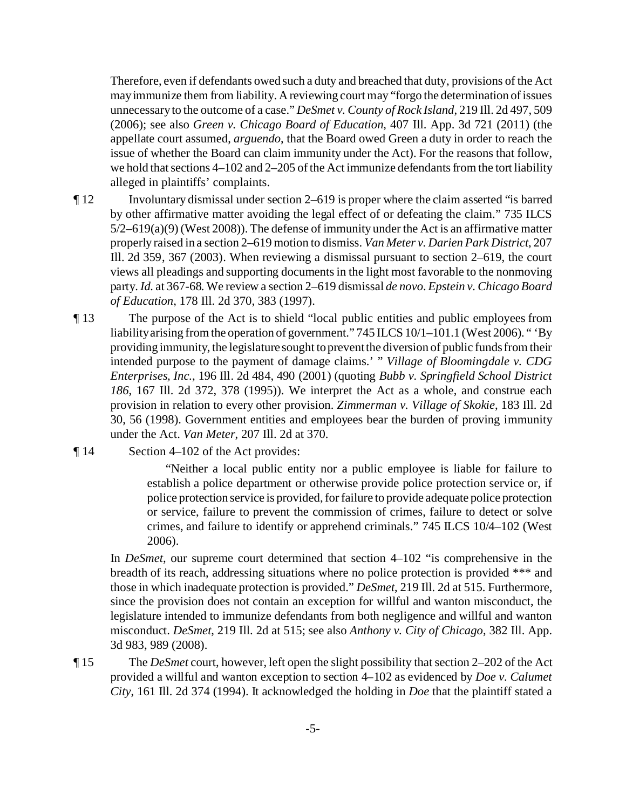Therefore, even if defendants owed such a duty and breached that duty, provisions of the Act may immunize them from liability. A reviewing court may "forgo the determination of issues unnecessary to the outcome of a case." *DeSmet v. County of Rock Island*, 219 Ill. 2d 497, 509 (2006); see also *Green v. Chicago Board of Education*, 407 Ill. App. 3d 721 (2011) (the appellate court assumed, *arguendo*, that the Board owed Green a duty in order to reach the issue of whether the Board can claim immunity under the Act). For the reasons that follow, we hold that sections 4–102 and 2–205 of the Act immunize defendants from the tort liability alleged in plaintiffs' complaints.

- ¶ 12 Involuntary dismissal under section 2–619 is proper where the claim asserted "is barred by other affirmative matter avoiding the legal effect of or defeating the claim." 735 ILCS  $5/2-619(a)(9)$  (West 2008)). The defense of immunity under the Act is an affirmative matter properly raised in a section 2–619 motion to dismiss. *Van Meter v. Darien Park District*, 207 Ill. 2d 359, 367 (2003). When reviewing a dismissal pursuant to section 2–619, the court views all pleadings and supporting documents in the light most favorable to the nonmoving party. *Id.* at 367-68. We review a section 2–619 dismissal *de novo*. *Epstein v. Chicago Board of Education*, 178 Ill. 2d 370, 383 (1997).
- ¶ 13 The purpose of the Act is to shield "local public entities and public employees from liability arising from the operation of government." 745 ILCS 10/1-101.1 (West 2006). " 'By providing immunity, the legislature sought to prevent the diversion of public funds from their intended purpose to the payment of damage claims.' " *Village of Bloomingdale v. CDG Enterprises, Inc.*, 196 Ill. 2d 484, 490 (2001) (quoting *Bubb v. Springfield School District 186*, 167 Ill. 2d 372, 378 (1995)). We interpret the Act as a whole, and construe each provision in relation to every other provision. *Zimmerman v. Village of Skokie*, 183 Ill. 2d 30, 56 (1998). Government entities and employees bear the burden of proving immunity under the Act. *Van Meter*, 207 Ill. 2d at 370.
- ¶ 14 Section 4–102 of the Act provides:

"Neither a local public entity nor a public employee is liable for failure to establish a police department or otherwise provide police protection service or, if police protection service is provided, for failure to provide adequate police protection or service, failure to prevent the commission of crimes, failure to detect or solve crimes, and failure to identify or apprehend criminals." 745 ILCS 10/4–102 (West 2006).

In *DeSmet*, our supreme court determined that section 4–102 "is comprehensive in the breadth of its reach, addressing situations where no police protection is provided \*\*\* and those in which inadequate protection is provided." *DeSmet*, 219 Ill. 2d at 515. Furthermore, since the provision does not contain an exception for willful and wanton misconduct, the legislature intended to immunize defendants from both negligence and willful and wanton misconduct. *DeSmet*, 219 Ill. 2d at 515; see also *Anthony v. City of Chicago*, 382 Ill. App. 3d 983, 989 (2008).

¶ 15 The *DeSmet* court, however, left open the slight possibility that section 2–202 of the Act provided a willful and wanton exception to section 4–102 as evidenced by *Doe v. Calumet City*, 161 Ill. 2d 374 (1994). It acknowledged the holding in *Doe* that the plaintiff stated a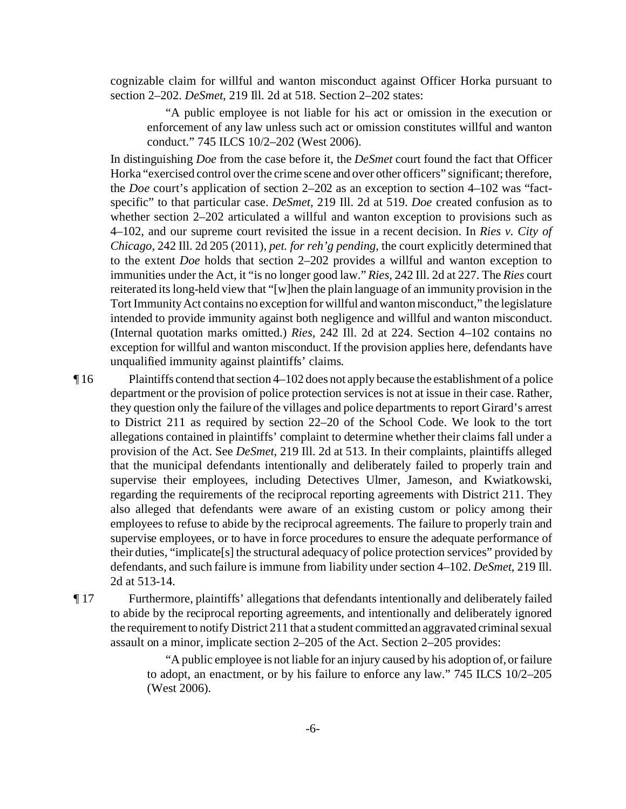cognizable claim for willful and wanton misconduct against Officer Horka pursuant to section 2–202. *DeSmet*, 219 Ill. 2d at 518. Section 2–202 states:

"A public employee is not liable for his act or omission in the execution or enforcement of any law unless such act or omission constitutes willful and wanton conduct." 745 ILCS 10/2–202 (West 2006).

In distinguishing *Doe* from the case before it, the *DeSmet* court found the fact that Officer Horka "exercised control over the crime scene and over other officers" significant; therefore, the *Doe* court's application of section 2–202 as an exception to section 4–102 was "factspecific" to that particular case. *DeSmet*, 219 Ill. 2d at 519. *Doe* created confusion as to whether section 2–202 articulated a willful and wanton exception to provisions such as 4–102, and our supreme court revisited the issue in a recent decision. In *Ries v. City of Chicago*, 242 Ill. 2d 205 (2011), *pet. for reh'g pending*, the court explicitly determined that to the extent *Doe* holds that section 2–202 provides a willful and wanton exception to immunities under the Act, it "is no longer good law." *Ries*, 242 Ill. 2d at 227. The *Ries* court reiterated its long-held view that "[w]hen the plain language of an immunity provision in the Tort Immunity Act contains no exception for willful and wanton misconduct," the legislature intended to provide immunity against both negligence and willful and wanton misconduct. (Internal quotation marks omitted.) *Ries*, 242 Ill. 2d at 224. Section 4–102 contains no exception for willful and wanton misconduct. If the provision applies here, defendants have unqualified immunity against plaintiffs' claims.

¶ 16 Plaintiffs contend that section 4–102 does not apply because the establishment of a police department or the provision of police protection services is not at issue in their case. Rather, they question only the failure of the villages and police departments to report Girard's arrest to District 211 as required by section 22–20 of the School Code. We look to the tort allegations contained in plaintiffs' complaint to determine whether their claims fall under a provision of the Act. See *DeSmet*, 219 Ill. 2d at 513. In their complaints, plaintiffs alleged that the municipal defendants intentionally and deliberately failed to properly train and supervise their employees, including Detectives Ulmer, Jameson, and Kwiatkowski, regarding the requirements of the reciprocal reporting agreements with District 211. They also alleged that defendants were aware of an existing custom or policy among their employees to refuse to abide by the reciprocal agreements. The failure to properly train and supervise employees, or to have in force procedures to ensure the adequate performance of their duties, "implicate[s] the structural adequacy of police protection services" provided by defendants, and such failure is immune from liability under section 4–102. *DeSmet*, 219 Ill. 2d at 513-14.

¶ 17 Furthermore, plaintiffs' allegations that defendants intentionally and deliberately failed to abide by the reciprocal reporting agreements, and intentionally and deliberately ignored the requirement to notify District 211 that a student committed an aggravated criminal sexual assault on a minor, implicate section 2–205 of the Act. Section 2–205 provides:

> "A public employee is not liable for an injury caused by his adoption of, or failure to adopt, an enactment, or by his failure to enforce any law." 745 ILCS 10/2–205 (West 2006).